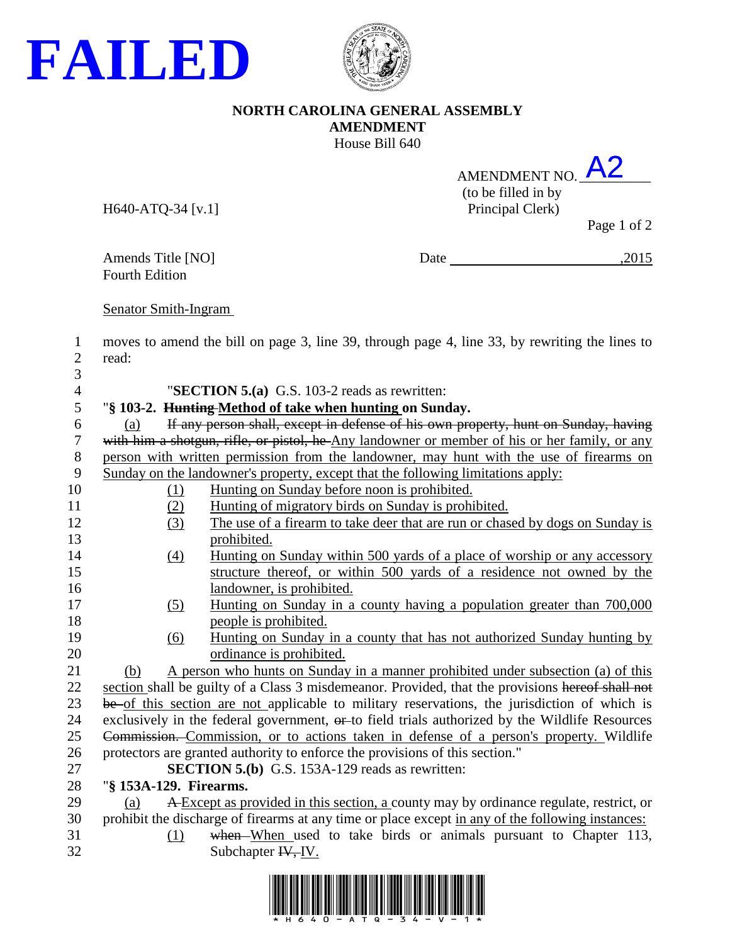



## **NORTH CAROLINA GENERAL ASSEMBLY AMENDMENT** House Bill 640

| AMENDMENT NO.                         |  |
|---------------------------------------|--|
| (to be filled in by                   |  |
| $D_{\text{minomial}}(L_{\text{sub}})$ |  |

H640-ATQ-34 [v.1] Principal Clerk)

Page 1 of 2

Fourth Edition

Amends Title [NO] Date ,2015

## Senator Smith-Ingram

1 moves to amend the bill on page 3, line 39, through page 4, line 33, by rewriting the lines to read:

3

| $\overline{4}$ |                        |            | "SECTION 5.(a) G.S. 103-2 reads as rewritten:                                                     |
|----------------|------------------------|------------|---------------------------------------------------------------------------------------------------|
| 5              |                        |            | "§ 103-2. Hunting-Method of take when hunting on Sunday.                                          |
| 6              | (a)                    |            | If any person shall, except in defense of his own property, hunt on Sunday, having                |
| 7              |                        |            | with him a shotgun, rifle, or pistol, he Any landowner or member of his or her family, or any     |
| 8              |                        |            | person with written permission from the landowner, may hunt with the use of firearms on           |
| 9              |                        |            | Sunday on the landowner's property, except that the following limitations apply:                  |
| 10             |                        | <u>(1)</u> | Hunting on Sunday before noon is prohibited.                                                      |
| 11             |                        | (2)        | Hunting of migratory birds on Sunday is prohibited.                                               |
| 12             |                        | (3)        | The use of a firearm to take deer that are run or chased by dogs on Sunday is                     |
| 13             |                        |            | prohibited.                                                                                       |
| 14             |                        | (4)        | <u>Hunting on Sunday within 500 yards of a place of worship or any accessory</u>                  |
| 15             |                        |            | structure thereof, or within 500 yards of a residence not owned by the                            |
| 16             |                        |            | landowner, is prohibited.                                                                         |
| 17             |                        | (5)        | Hunting on Sunday in a county having a population greater than 700,000                            |
| 18             |                        |            | people is prohibited.                                                                             |
| 19             |                        | (6)        | Hunting on Sunday in a county that has not authorized Sunday hunting by                           |
| 20             |                        |            | ordinance is prohibited.                                                                          |
| 21             | (b)                    |            | A person who hunts on Sunday in a manner prohibited under subsection (a) of this                  |
| 22             |                        |            | section shall be guilty of a Class 3 misdemeanor. Provided, that the provisions hereof shall not  |
| 23             |                        |            | be of this section are not applicable to military reservations, the jurisdiction of which is      |
| 24             |                        |            | exclusively in the federal government, or to field trials authorized by the Wildlife Resources    |
| 25             |                        |            | Commission. Commission, or to actions taken in defense of a person's property. Wildlife           |
| 26             |                        |            | protectors are granted authority to enforce the provisions of this section."                      |
| 27             |                        |            | <b>SECTION 5.(b)</b> G.S. 153A-129 reads as rewritten:                                            |
| 28             | "§ 153A-129. Firearms. |            |                                                                                                   |
| 29             | (a)                    |            | A Except as provided in this section, a county may by ordinance regulate, restrict, or            |
| 30             |                        |            | prohibit the discharge of firearms at any time or place except in any of the following instances: |
| 31             |                        | (1)        | when When used to take birds or animals pursuant to Chapter 113,                                  |
| 32             |                        |            | Subchapter $\overline{IV}$ , IV.                                                                  |